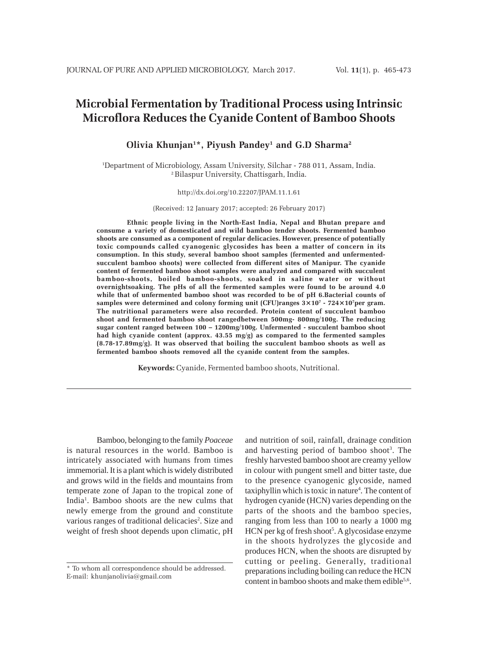# **Microbial Fermentation by Traditional Process using Intrinsic Microflora Reduces the Cyanide Content of Bamboo Shoots**

**Olivia Khunjan1 \*, Piyush Pandey1 and G.D Sharma2**

1 Department of Microbiology, Assam University, Silchar - 788 011, Assam, India. 2 Bilaspur University, Chattisgarh, India.

#### http://dx.doi.org/10.22207/JPAM.11.1.61

(Received: 12 January 2017; accepted: 26 February 2017)

**Ethnic people living in the North-East India, Nepal and Bhutan prepare and consume a variety of domesticated and wild bamboo tender shoots. Fermented bamboo shoots are consumed as a component of regular delicacies. However, presence of potentially toxic compounds called cyanogenic glycosides has been a matter of concern in its consumption. In this study, several bamboo shoot samples (fermented and unfermentedsucculent bamboo shoots) were collected from different sites of Manipur. The cyanide content of fermented bamboo shoot samples were analyzed and compared with succulent bamboo-shoots, boiled bamboo-shoots, soaked in saline water or without overnightsoaking. The pHs of all the fermented samples were found to be around 4.0 while that of unfermented bamboo shoot was recorded to be of pH 6.Bacterial counts of samples were determined and colony forming unit (CFU)ranges 3×107 - 724×107 per gram. The nutritional parameters were also recorded. Protein content of succulent bamboo shoot and fermented bamboo shoot rangedbetween 500mg- 800mg/100g. The reducing sugar content ranged between 100 – 1200mg/100g. Unfermented - succulent bamboo shoot had high cyanide content (approx. 43.55 mg/g) as compared to the fermented samples (8.78-17.89mg/g). It was observed that boiling the succulent bamboo shoots as well as fermented bamboo shoots removed all the cyanide content from the samples.**

**Keywords:** Cyanide, Fermented bamboo shoots, Nutritional.

Bamboo, belonging to the family *Poaceae* is natural resources in the world. Bamboo is intricately associated with humans from times immemorial. It is a plant which is widely distributed and grows wild in the fields and mountains from temperate zone of Japan to the tropical zone of India1 . Bamboo shoots are the new culms that newly emerge from the ground and constitute various ranges of traditional delicacies<sup>2</sup>. Size and weight of fresh shoot depends upon climatic, pH

and nutrition of soil, rainfall, drainage condition and harvesting period of bamboo shoot<sup>3</sup>. The freshly harvested bamboo shoot are creamy yellow in colour with pungent smell and bitter taste, due to the presence cyanogenic glycoside, named taxiphyllin which is toxic in nature<sup>4</sup>. The content of hydrogen cyanide (HCN) varies depending on the parts of the shoots and the bamboo species, ranging from less than 100 to nearly a 1000 mg HCN per kg of fresh shoot<sup>5</sup>. A glycosidase enzyme in the shoots hydrolyzes the glycoside and produces HCN, when the shoots are disrupted by cutting or peeling. Generally, traditional preparations including boiling can reduce the HCN content in bamboo shoots and make them edible<sup>5,6</sup>.

<sup>\*</sup> To whom all correspondence should be addressed. E-mail: khunjanolivia@gmail.com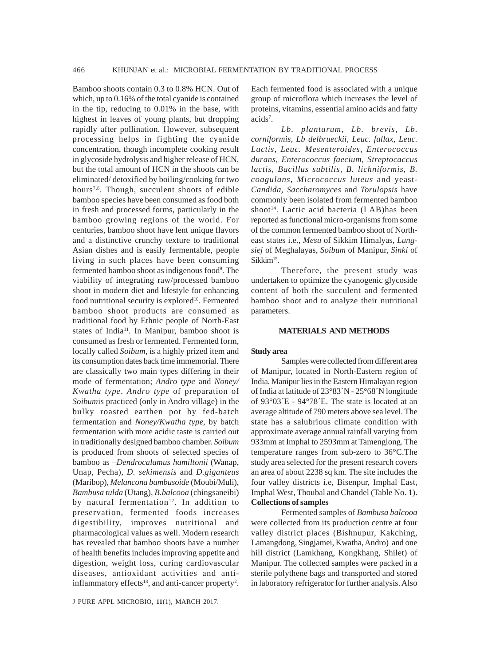Bamboo shoots contain 0.3 to 0.8% HCN. Out of which, up to 0.16% of the total cyanide is contained in the tip, reducing to 0.01% in the base, with highest in leaves of young plants, but dropping rapidly after pollination. However, subsequent processing helps in fighting the cyanide concentration, though incomplete cooking result in glycoside hydrolysis and higher release of HCN, but the total amount of HCN in the shoots can be eliminated/ detoxified by boiling/cooking for two hours<sup>7,8</sup>. Though, succulent shoots of edible bamboo species have been consumed as food both in fresh and processed forms, particularly in the bamboo growing regions of the world. For centuries, bamboo shoot have lent unique flavors and a distinctive crunchy texture to traditional Asian dishes and is easily fermentable, people living in such places have been consuming fermented bamboo shoot as indigenous food<sup>9</sup>. The viability of integrating raw/processed bamboo shoot in modern diet and lifestyle for enhancing food nutritional security is explored<sup>10</sup>. Fermented bamboo shoot products are consumed as traditional food by Ethnic people of North-East states of India<sup>11</sup>. In Manipur, bamboo shoot is consumed as fresh or fermented. Fermented form, locally called *Soibum,* is a highly prized item and its consumption dates back time immemorial. There are classically two main types differing in their mode of fermentation; *Andro type* and *Noney/ Kwatha type*. *Andro type* of preparation of *Soibum*is practiced (only in Andro village) in the bulky roasted earthen pot by fed-batch fermentation and *Noney/Kwatha type*, by batch fermentation with more acidic taste is carried out in traditionally designed bamboo chamber. *Soibum* is produced from shoots of selected species of bamboo as –*Dendrocalamus hamiltonii* (Wanap, Unap, Pecha), *D. sekimensis* and *D.giganteus* (Maribop), *Melancona bambusoide* (Moubi/Muli), *Bambusa tulda* (Utang), *B.balcooa* (chingsaneibi) by natural fermentation<sup>12</sup>. In addition to preservation, fermented foods increases digestibility, improves nutritional and pharmacological values as well. Modern research has revealed that bamboo shoots have a number of health benefits includes improving appetite and digestion, weight loss, curing cardiovascular diseases, antioxidant activities and antiinflammatory effects<sup>13</sup>, and anti-cancer property<sup>2</sup>.

Each fermented food is associated with a unique group of microflora which increases the level of proteins, vitamins, essential amino acids and fatty acids<sup>7</sup>.

*Lb. plantarum, Lb. brevis, Lb. corniformis, Lb delbrueckii, Leuc. fallax, Leuc. Lactis, Leuc. Mesenteroides, Enterococcus durans, Enterococcus faecium, Streptocaccus lactis, Bacillus subtilis, B. lichniformis, B. coagulans, Micrococcus luteus* and yeast-*Candida, Saccharomyces* and *Torulopsis* have commonly been isolated from fermented bamboo shoot<sup>14</sup>. Lactic acid bacteria  $(LAB)$ has been reported as functional micro-organisms from some of the common fermented bamboo shoot of Northeast states i.e., *Mesu* of Sikkim Himalyas, *Lungsiej* of Meghalayas, *Soibum* of Manipur, *Sinki* of Sikkim<sup>15</sup>.

Therefore, the present study was undertaken to optimize the cyanogenic glycoside content of both the succulent and fermented bamboo shoot and to analyze their nutritional parameters.

#### **MATERIALS AND METHODS**

#### **Study area**

Samples were collected from different area of Manipur, located in North-Eastern region of India. Manipur lies in the Eastern Himalayan region of India at latitude of 23°83´N - 25°68´N longitude of 93°03´E - 94°78´E. The state is located at an average altitude of 790 meters above sea level. The state has a salubrious climate condition with approximate average annual rainfall varying from 933mm at Imphal to 2593mm at Tamenglong. The temperature ranges from sub-zero to 36°C.The study area selected for the present research covers an area of about 2238 sq km. The site includes the four valley districts i.e, Bisenpur, Imphal East, Imphal West, Thoubal and Chandel (Table No. 1). **Collections of samples**

Fermented samples of *Bambusa balcooa* were collected from its production centre at four valley district places (Bishnupur, Kakching, Lamangdong, Singjamei, Kwatha, Andro) and one hill district (Lamkhang, Kongkhang, Shilet) of Manipur. The collected samples were packed in a sterile polythene bags and transported and stored in laboratory refrigerator for further analysis. Also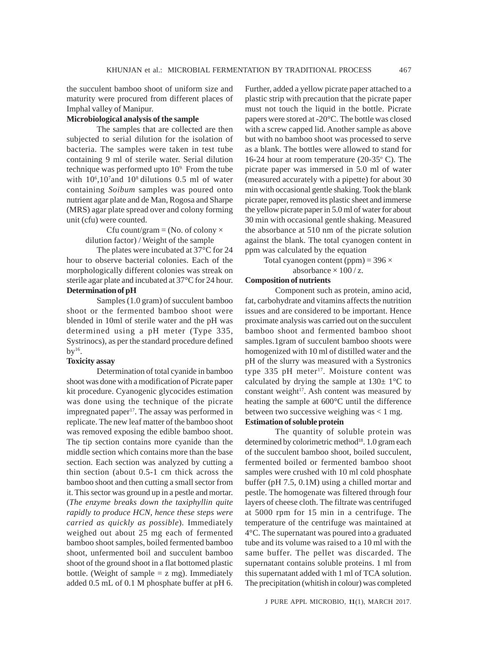the succulent bamboo shoot of uniform size and maturity were procured from different places of Imphal valley of Manipur.

## **Microbiological analysis of the sample**

The samples that are collected are then subjected to serial dilution for the isolation of bacteria. The samples were taken in test tube containing 9 ml of sterile water. Serial dilution technique was performed upto  $10<sup>9</sup>$ . From the tube with 10<sup>6</sup>,10<sup>7</sup> and 10<sup>8</sup> dilutions 0.5 ml of water containing *Soibum* samples was poured onto nutrient agar plate and de Man, Rogosa and Sharpe (MRS) agar plate spread over and colony forming unit (cfu) were counted.

> Cfu count/gram = (No. of colony  $\times$ dilution factor) / Weight of the sample

The plates were incubated at 37°C for 24 hour to observe bacterial colonies. Each of the morphologically different colonies was streak on sterile agar plate and incubated at 37°C for 24 hour. **Determination of pH**

Samples (1.0 gram) of succulent bamboo shoot or the fermented bamboo shoot were blended in 10ml of sterile water and the pH was determined using a pH meter (Type 335, Systrinocs), as per the standard procedure defined by $16$ .

## **Toxicity assay**

Determination of total cyanide in bamboo shoot was done with a modification of Picrate paper kit procedure. Cyanogenic glycocides estimation was done using the technique of the picrate impregnated paper<sup>17</sup>. The assay was performed in replicate. The new leaf matter of the bamboo shoot was removed exposing the edible bamboo shoot. The tip section contains more cyanide than the middle section which contains more than the base section. Each section was analyzed by cutting a thin section (about 0.5-1 cm thick across the bamboo shoot and then cutting a small sector from it. This sector was ground up in a pestle and mortar. (*The enzyme breaks down the taxiphyllin quite rapidly to produce HCN, hence these steps were carried as quickly as possible*)*.* Immediately weighed out about 25 mg each of fermented bamboo shoot samples, boiled fermented bamboo shoot, unfermented boil and succulent bamboo shoot of the ground shoot in a flat bottomed plastic bottle. (Weight of sample  $= z$  mg). Immediately added 0.5 mL of 0.1 M phosphate buffer at pH 6. Further, added a yellow picrate paper attached to a plastic strip with precaution that the picrate paper must not touch the liquid in the bottle. Picrate papers were stored at -20°C. The bottle was closed with a screw capped lid. Another sample as above but with no bamboo shoot was processed to serve as a blank. The bottles were allowed to stand for 16-24 hour at room temperature (20-35 $\degree$  C). The picrate paper was immersed in 5.0 ml of water (measured accurately with a pipette) for about 30 min with occasional gentle shaking. Took the blank picrate paper, removed its plastic sheet and immerse the yellow picrate paper in 5.0 ml of water for about 30 min with occasional gentle shaking. Measured the absorbance at 510 nm of the picrate solution against the blank. The total cyanogen content in ppm was calculated by the equation

Total cyanogen content (ppm) =  $396 \times$ 

absorbance  $\times$  100 / z.

## **Composition of nutrients**

Component such as protein, amino acid, fat, carbohydrate and vitamins affects the nutrition issues and are considered to be important. Hence proximate analysis was carried out on the succulent bamboo shoot and fermented bamboo shoot samples.1gram of succulent bamboo shoots were homogenized with 10 ml of distilled water and the pH of the slurry was measured with a Systronics type 335 pH meter<sup>17</sup>. Moisture content was calculated by drying the sample at  $130 \pm 1^{\circ}$ C to constant weight<sup>17</sup>. Ash content was measured by heating the sample at 600°C until the difference between two successive weighing was  $< 1$  mg.

## **Estimation of soluble protein**

The quantity of soluble protein was determined by colorimetric method<sup>18</sup>. 1.0 gram each of the succulent bamboo shoot, boiled succulent, fermented boiled or fermented bamboo shoot samples were crushed with 10 ml cold phosphate buffer (pH 7.5, 0.1M) using a chilled mortar and pestle. The homogenate was filtered through four layers of cheese cloth. The filtrate was centrifuged at 5000 rpm for 15 min in a centrifuge. The temperature of the centrifuge was maintained at 4°C. The supernatant was poured into a graduated tube and its volume was raised to a 10 ml with the same buffer. The pellet was discarded. The supernatant contains soluble proteins. 1 ml from this supernatant added with 1 ml of TCA solution. The precipitation (whitish in colour) was completed

J PURE APPL MICROBIO*,* **11**(1), MARCH 2017.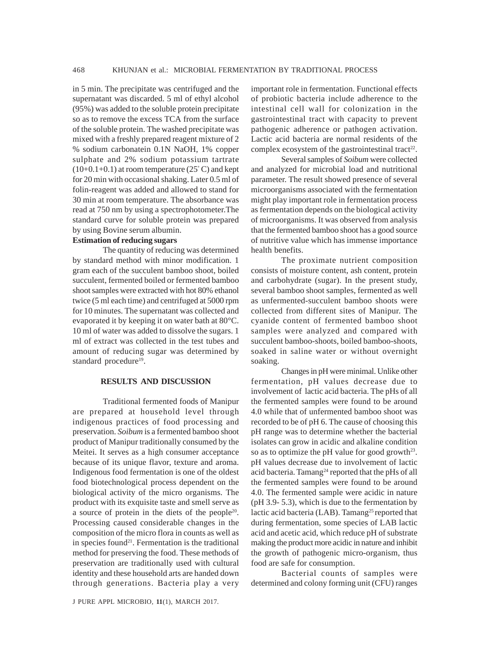in 5 min. The precipitate was centrifuged and the supernatant was discarded. 5 ml of ethyl alcohol (95%) was added to the soluble protein precipitate so as to remove the excess TCA from the surface of the soluble protein. The washed precipitate was mixed with a freshly prepared reagent mixture of 2 % sodium carbonatein 0.1N NaOH, 1% copper sulphate and 2% sodium potassium tartrate  $(10+0.1+0.1)$  at room temperature  $(25^{\circ}$ C) and kept for 20 min with occasional shaking. Later 0.5 ml of folin-reagent was added and allowed to stand for 30 min at room temperature. The absorbance was read at 750 nm by using a spectrophotometer.The standard curve for soluble protein was prepared by using Bovine serum albumin.

# **Estimation of reducing sugars**

The quantity of reducing was determined by standard method with minor modification. 1 gram each of the succulent bamboo shoot, boiled succulent, fermented boiled or fermented bamboo shoot samples were extracted with hot 80% ethanol twice (5 ml each time) and centrifuged at 5000 rpm for 10 minutes. The supernatant was collected and evaporated it by keeping it on water bath at 80°C. 10 ml of water was added to dissolve the sugars. 1 ml of extract was collected in the test tubes and amount of reducing sugar was determined by standard procedure<sup>19</sup>.

### **RESULTS AND DISCUSSION**

Traditional fermented foods of Manipur are prepared at household level through indigenous practices of food processing and preservation. *Soibum* is a fermented bamboo shoot product of Manipur traditionally consumed by the Meitei. It serves as a high consumer acceptance because of its unique flavor, texture and aroma. Indigenous food fermentation is one of the oldest food biotechnological process dependent on the biological activity of the micro organisms. The product with its exquisite taste and smell serve as a source of protein in the diets of the people20. Processing caused considerable changes in the composition of the micro flora in counts as well as in species found<sup>21</sup>. Fermentation is the traditional method for preserving the food. These methods of preservation are traditionally used with cultural identity and these household arts are handed down through generations. Bacteria play a very

important role in fermentation. Functional effects of probiotic bacteria include adherence to the intestinal cell wall for colonization in the gastrointestinal tract with capacity to prevent pathogenic adherence or pathogen activation. Lactic acid bacteria are normal residents of the complex ecosystem of the gastrointestinal tract<sup>22</sup>.

Several samples of *Soibum* were collected and analyzed for microbial load and nutritional parameter. The result showed presence of several microorganisms associated with the fermentation might play important role in fermentation process as fermentation depends on the biological activity of microorganisms. It was observed from analysis that the fermented bamboo shoot has a good source of nutritive value which has immense importance health benefits.

The proximate nutrient composition consists of moisture content, ash content, protein and carbohydrate (sugar). In the present study, several bamboo shoot samples, fermented as well as unfermented-succulent bamboo shoots were collected from different sites of Manipur. The cyanide content of fermented bamboo shoot samples were analyzed and compared with succulent bamboo-shoots, boiled bamboo-shoots, soaked in saline water or without overnight soaking.

Changes in pH were minimal. Unlike other fermentation, pH values decrease due to involvement of lactic acid bacteria. The pHs of all the fermented samples were found to be around 4.0 while that of unfermented bamboo shoot was recorded to be of pH 6. The cause of choosing this pH range was to determine whether the bacterial isolates can grow in acidic and alkaline condition so as to optimize the pH value for good growth $23$ . pH values decrease due to involvement of lactic acid bacteria. Tamang<sup>24</sup> reported that the pHs of all the fermented samples were found to be around 4.0. The fermented sample were acidic in nature (pH 3.9- 5.3), which is due to the fermentation by lactic acid bacteria (LAB). Tamang<sup>25</sup> reported that during fermentation, some species of LAB lactic acid and acetic acid, which reduce pH of substrate making the product more acidic in nature and inhibit the growth of pathogenic micro-organism, thus food are safe for consumption.

Bacterial counts of samples were determined and colony forming unit (CFU) ranges

J PURE APPL MICROBIO*,* **11**(1), MARCH 2017.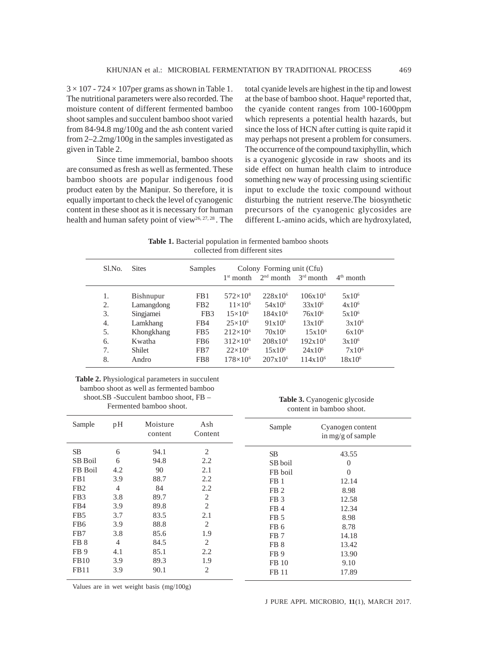$3 \times 107 - 724 \times 107$  per grams as shown in Table 1. The nutritional parameters were also recorded. The moisture content of different fermented bamboo shoot samples and succulent bamboo shoot varied from 84-94.8 mg/100g and the ash content varied from 2–2.2mg/100g in the samples investigated as given in Table 2.

Since time immemorial, bamboo shoots are consumed as fresh as well as fermented. These bamboo shoots are popular indigenous food product eaten by the Manipur. So therefore, it is equally important to check the level of cyanogenic content in these shoot as it is necessary for human health and human safety point of view<sup>26, 27, 28</sup>. The total cyanide levels are highest in the tip and lowest at the base of bamboo shoot. Haque<sup>8</sup> reported that, the cyanide content ranges from 100-1600ppm which represents a potential health hazards, but since the loss of HCN after cutting is quite rapid it may perhaps not present a problem for consumers. The occurrence of the compound taxiphyllin, which is a cyanogenic glycoside in raw shoots and its side effect on human health claim to introduce something new way of processing using scientific input to exclude the toxic compound without disturbing the nutrient reserve.The biosynthetic precursors of the cyanogenic glycosides are different L-amino acids, which are hydroxylated,

**Table 1.** Bacterial population in fermented bamboo shoots collected from different sites

| Sl.No. | <b>Sites</b>  | Samples         | Colony Forming unit (Cfu) |              |              |             |  |
|--------|---------------|-----------------|---------------------------|--------------|--------------|-------------|--|
|        |               |                 | $1st$ month               | $2nd$ month  | $3rd$ month  | $4th$ month |  |
| 1.     | Bishnupur     | FB1             | $572\times10^{8}$         | $228x10^{6}$ | $106x10^{6}$ | $5x10^6$    |  |
| 2.     | Lamangdong    | FB <sub>2</sub> | $11\times10^{6}$          | $54x10^{6}$  | $33x10^{6}$  | $4x10^6$    |  |
| 3.     | Singjamei     | FB <sub>3</sub> | $15\times10^{6}$          | $184x10^6$   | $76x10^{6}$  | $5x10^6$    |  |
| 4.     | Lamkhang      | FB4             | $25\times10^{6}$          | $91x10^6$    | $13x10^6$    | $3x10^6$    |  |
| 5.     | Khongkhang    | FB <sub>5</sub> | $212\times10^{6}$         | $70x10^6$    | $15x10^6$    | $6x10^{6}$  |  |
| 6.     | Kwatha        | FB <sub>6</sub> | $312\times10^{6}$         | $208x10^6$   | $192x10^6$   | $3x10^6$    |  |
| 7.     | <b>Shilet</b> | FB7             | $22\times10^{6}$          | $15x10^6$    | $24x10^6$    | $7x10^6$    |  |
| 8.     | Andro         | FB <sub>8</sub> | $178\times10^{6}$         | $207x10^6$   | $114x10^6$   | $18x10^6$   |  |

#### **Table 2.** Physiological parameters in succulent bamboo shoot as well as fermented bamboo shoot.SB -Succulent bamboo shoot, FB – Fermented bamboo shoot.

**Table 3.** Cyanogenic glycoside content in bamboo shoot.

| Sample          | pH             | Moisture<br>content | Ash<br>Content | Sample          | Cyanogen content<br>in mg/g of sample |
|-----------------|----------------|---------------------|----------------|-----------------|---------------------------------------|
| SB              | 6              | 94.1                | 2              | SB              | 43.55                                 |
| <b>SB</b> Boil  | 6              | 94.8                | 2.2            | SB boil         | $\theta$                              |
| FB Boil         | 4.2            | 90                  | 2.1            | FB boil         | $\theta$                              |
| FB1             | 3.9            | 88.7                | 2.2            | FB <sub>1</sub> | 12.14                                 |
| FB <sub>2</sub> | $\overline{4}$ | 84                  | 2.2            | FB <sub>2</sub> | 8.98                                  |
| FB <sub>3</sub> | 3.8            | 89.7                | 2              | FB <sub>3</sub> | 12.58                                 |
| FB4             | 3.9            | 89.8                | $\overline{2}$ | FB4             | 12.34                                 |
| FB <sub>5</sub> | 3.7            | 83.5                | 2.1            | FB <sub>5</sub> | 8.98                                  |
| FB <sub>6</sub> | 3.9            | 88.8                | 2              | FB <sub>6</sub> | 8.78                                  |
| FB7             | 3.8            | 85.6                | 1.9            | FB <sub>7</sub> | 14.18                                 |
| FB <sub>8</sub> | $\overline{4}$ | 84.5                | $\overline{2}$ | FB <sub>8</sub> | 13.42                                 |
| FB <sub>9</sub> | 4.1            | 85.1                | 2.2            | FB <sub>9</sub> | 13.90                                 |
| <b>FB10</b>     | 3.9            | 89.3                | 1.9            | FB 10           | 9.10                                  |
| <b>FB11</b>     | 3.9            | 90.1                | 2              | FB 11           | 17.89                                 |

Values are in wet weight basis (mg/100g)

J PURE APPL MICROBIO*,* **11**(1), MARCH 2017.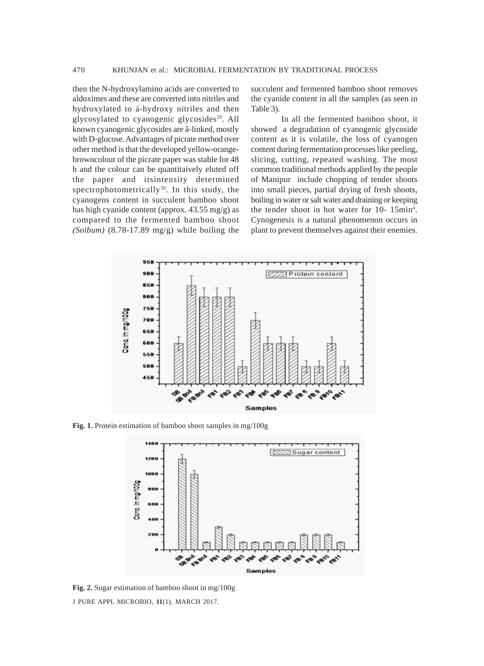then the N-hydroxylamino acids are converted to aldoximes and these are converted into nitriles and hydroxylated to á-hydroxy nitriles and then glycosylated to cyanogenic glycosides<sup>29</sup>. All known cyanogenic glycosides are â-linked, mostly with D-glucose. Advantages of picrate method over other method is that the developed yellow-orangebrowncolour of the picrate paper was stable for 48 h and the colour can be quantitaively eluted off the paper and itsintensity determined spectrophotometrically<sup>30</sup>. In this study, the cyanogens content in succulent bamboo shoot has high cyanide content (approx. 43.55 mg/g) as compared to the fermented bamboo shoot *(Soibum)* (8.78-17.89 mg/g) while boiling the

succulent and fermented bamboo shoot removes the cyanide content in all the samples (as seen in Table 3).

In all the fermented bamboo shoot, it showed a degradation of cyanogenic glycoside content as it is volatile, the loss of cyanogen content during fermentation processes like peeling, slicing, cutting, repeated washing. The most common traditional methods applied by the people of Manipur include chopping of tender shoots into small pieces, partial drying of fresh shoots, boiling in water or salt water and draining or keeping the tender shoot in hot water for 10- 15min<sup>4</sup>. Cynogenesis is a natural phenomenon occurs in plant to prevent themselves against their enemies.



**Fig. 1.** Protein estimation of bamboo shoot samples in mg/100g



J PURE APPL MICROBIO*,* **11**(1), MARCH 2017. **Fig. 2.** Sugar estimation of bamboo shoot in mg/100g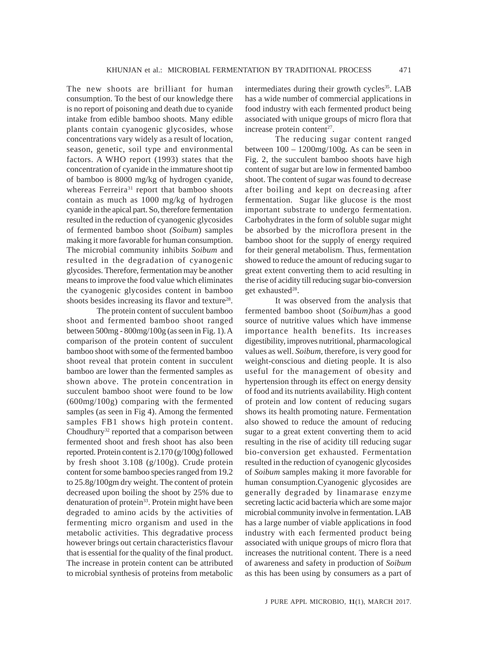The new shoots are brilliant for human consumption. To the best of our knowledge there is no report of poisoning and death due to cyanide intake from edible bamboo shoots. Many edible plants contain cyanogenic glycosides, whose concentrations vary widely as a result of location, season, genetic, soil type and environmental factors. A WHO report (1993) states that the concentration of cyanide in the immature shoot tip of bamboo is 8000 mg/kg of hydrogen cyanide, whereas Ferreira<sup>31</sup> report that bamboo shoots contain as much as 1000 mg/kg of hydrogen cyanide in the apical part. So, therefore fermentation resulted in the reduction of cyanogenic glycosides of fermented bamboo shoot *(Soibum*) samples making it more favorable for human consumption. The microbial community inhibits *Soibum* and resulted in the degradation of cyanogenic glycosides. Therefore, fermentation may be another means to improve the food value which eliminates the cyanogenic glycosides content in bamboo shoots besides increasing its flavor and texture<sup>28</sup>.

The protein content of succulent bamboo shoot and fermented bamboo shoot ranged between 500mg - 800mg/100g (as seen in Fig. 1). A comparison of the protein content of succulent bamboo shoot with some of the fermented bamboo shoot reveal that protein content in succulent bamboo are lower than the fermented samples as shown above. The protein concentration in succulent bamboo shoot were found to be low (600mg/100g) comparing with the fermented samples (as seen in Fig 4). Among the fermented samples FB1 shows high protein content. Choudhury<sup>32</sup> reported that a comparison between fermented shoot and fresh shoot has also been reported. Protein content is 2.170 (g/100g) followed by fresh shoot 3.108 (g/100g). Crude protein content for some bamboo species ranged from 19.2 to 25.8g/100gm dry weight. The content of protein decreased upon boiling the shoot by 25% due to denaturation of protein<sup>33</sup>. Protein might have been degraded to amino acids by the activities of fermenting micro organism and used in the metabolic activities. This degradative process however brings out certain characteristics flavour that is essential for the quality of the final product. The increase in protein content can be attributed to microbial synthesis of proteins from metabolic

intermediates during their growth cycles<sup>35</sup>. LAB has a wide number of commercial applications in food industry with each fermented product being associated with unique groups of micro flora that increase protein content<sup>27</sup>.

The reducing sugar content ranged between 100 – 1200mg/100g. As can be seen in Fig. 2, the succulent bamboo shoots have high content of sugar but are low in fermented bamboo shoot. The content of sugar was found to decrease after boiling and kept on decreasing after fermentation. Sugar like glucose is the most important substrate to undergo fermentation. Carbohydrates in the form of soluble sugar might be absorbed by the microflora present in the bamboo shoot for the supply of energy required for their general metabolism. Thus, fermentation showed to reduce the amount of reducing sugar to great extent converting them to acid resulting in the rise of acidity till reducing sugar bio-conversion get exhausted<sup>28</sup>.

It was observed from the analysis that fermented bamboo shoot (*Soibum)*has a good source of nutritive values which have immense importance health benefits. Its increases digestibility, improves nutritional, pharmacological values as well. *Soibum*, therefore, is very good for weight-conscious and dieting people. It is also useful for the management of obesity and hypertension through its effect on energy density of food and its nutrients availability. High content of protein and low content of reducing sugars shows its health promoting nature. Fermentation also showed to reduce the amount of reducing sugar to a great extent converting them to acid resulting in the rise of acidity till reducing sugar bio-conversion get exhausted. Fermentation resulted in the reduction of cyanogenic glycosides of *Soibum* samples making it more favorable for human consumption.Cyanogenic glycosides are generally degraded by linamarase enzyme secreting lactic acid bacteria which are some major microbial community involve in fermentation. LAB has a large number of viable applications in food industry with each fermented product being associated with unique groups of micro flora that increases the nutritional content. There is a need of awareness and safety in production of *Soibum* as this has been using by consumers as a part of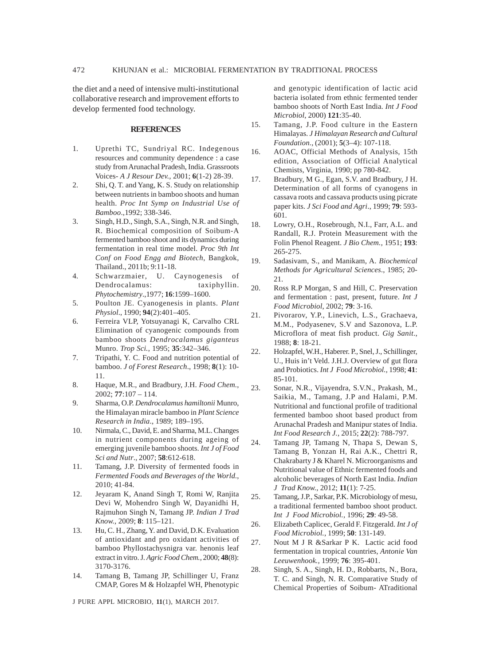the diet and a need of intensive multi-institutional collaborative research and improvement efforts to develop fermented food technology.

#### **REFERENCES**

- 1. Uprethi TC, Sundriyal RC. Indegenous resources and community dependence : a case study from Arunachal Pradesh, India. Grassroots Voices- *A J Resour Dev.,* 2001; **6**(1-2) 28-39.
- 2. Shi, Q. T. and Yang, K. S. Study on relationship between nutrients in bamboo shoots and human health. *Proc Int Symp on Industrial Use of Bamboo*.,1992; 338-346.
- 3. Singh, H.D., Singh, S.A., Singh, N.R. and Singh, R. Biochemical composition of Soibum-A fermented bamboo shoot and its dynamics during fermentation in real time model. *Proc 9th Int Conf on Food Engg and Biotech*, Bangkok, Thailand., 2011b; 9:11-18.
- 4. Schwarzmaier, U. Caynogenesis of Dendrocalamus: taxiphyllin. *Phytochemistry*.,1977; **16**:1599–1600.
- 5. Poulton JE. Cyanogenesis in plants. *Plant Physiol*., 1990; **94**(2):401–405.
- 6. Ferreira VLP, Yotsuyanagi K, Carvalho CRL Elimination of cyanogenic compounds from bamboo shoots *Dendrocalamus giganteus* Munro. *Trop Sci.*, 1995; **35**:342–346.
- 7. Tripathi, Y. C. Food and nutrition potential of bamboo. *J of Forest Research*., 1998; **8**(1): 10- 11.
- 8. Haque, M.R., and Bradbury, J.H. *Food Chem.*, 2002; **77**:107 – 114.
- 9. Sharma, O.P. *Dendrocalamus hamiltonii* Munro, the Himalayan miracle bamboo in *Plant Science Research in India*., 1989; 189–195.
- 10. Nirmala, C., David, E. and Sharma, M.L. Changes in nutrient components during ageing of emerging juvenile bamboo shoots. *Int J of Food Sci and Nutr*., 2007; **58**:612-618.
- 11. Tamang, J.P. Diversity of fermented foods in *Fermented Foods and Beverages of the World*., 2010; 41-84.
- 12. Jeyaram K, Anand Singh T, Romi W, Ranjita Devi W, Mohendro Singh W, Dayanidhi H, Rajmuhon Singh N, Tamang JP. *Indian J Trad Know.*, 2009; **8**: 115–121.
- 13. Hu, C. H., Zhang, Y. and David, D.K. Evaluation of antioxidant and pro oxidant activities of bamboo Phyllostachysnigra var. henonis leaf extract in vitro. J. *Agric Food Chem.,* 2000; **48**(8): 3170-3176.
- 14. Tamang B, Tamang JP, Schillinger U, Franz CMAP, Gores M & Holzapfel WH, Phenotypic

J PURE APPL MICROBIO*,* **11**(1), MARCH 2017.

and genotypic identification of lactic acid bacteria isolated from ethnic fermented tender bamboo shoots of North East India. *Int J Food Microbiol*, 2000) **121**:35-40.

- 15. Tamang, J.P. Food culture in the Eastern Himalayas. *J Himalayan Research and Cultural Foundation.*, (2001); **5**(3–4): 107-118.
- 16. AOAC, Official Methods of Analysis, 15th edition, Association of Official Analytical Chemists, Virginia, 1990; pp 780-842.
- 17. Bradbury, M G., Egan, S.V. and Bradbury, J H. Determination of all forms of cyanogens in cassava roots and cassava products using picrate paper kits*. J Sci Food and Agri*., 1999; **79**: 593- 601.
- 18. Lowry, O.H., Rosebrough, N.I., Farr, A.L. and Randall, R.J. Protein Measurement with the Folin Phenol Reagent. *J Bio Chem.,* 1951; **193**: 265-275.
- 19. Sadasivam, S., and Manikam, A. *Biochemical Methods for Agricultural Sciences*., 1985; 20- 21.
- 20. Ross R.P Morgan, S and Hill, C. Preservation and fermentation : past, present, future. *Int J Food Microbiol*, 2002; **79**: 3-16.
- 21. Pivorarov, Y.P., Linevich, L.S., Grachaeva, M.M., Podyasenev, S.V and Sazonova, L.P. Microflora of meat fish product. *Gig Sanit*., 1988; **8**: 18-21.
- 22. Holzapfel, W.H., Haberer. P., Snel, J., Schillinger, U., Huis in't Veld. J.H.J. Overview of gut flora and Probiotics. *Int J Food Microbiol.,* 1998; **41**: 85-101.
- 23. Sonar, N.R., Vijayendra, S.V.N., Prakash, M., Saikia, M., Tamang, J.P and Halami, P.M. Nutritional and functional profile of traditional fermented bamboo shoot based product from Arunachal Pradesh and Manipur states of India. *Int Food Research J.*, 2015; **22**(2): 788-797.
- 24. Tamang JP, Tamang N, Thapa S, Dewan S, Tamang B, Yonzan H, Rai A.K., Chettri R, Chakrabarty J & Kharel N. Microorganisms and Nutritional value of Ethnic fermented foods and alcoholic beverages of North East India. *Indian J Trad Know.*, 2012; **11**(1): 7-25.
- 25. Tamang, J.P., Sarkar, P.K. Microbiology of mesu, a traditional fermented bamboo shoot product*. Int J Food Microbiol.,* 1996; **29**: 49-58.
- 26. Elizabeth Caplicec, Gerald F. Fitzgerald. *Int J of Food Microbiol.*, 1999; **50**: 131-149.
- 27. Nout M J R &Sarkar P K. Lactic acid food fermentation in tropical countries, *Antonie Van Leeuwenhook.,* 1999; **76**: 395-401.
- 28. Singh, S. A., Singh, H. D., Robbarts, N., Bora, T. C. and Singh, N. R. Comparative Study of Chemical Properties of Soibum- ATraditional